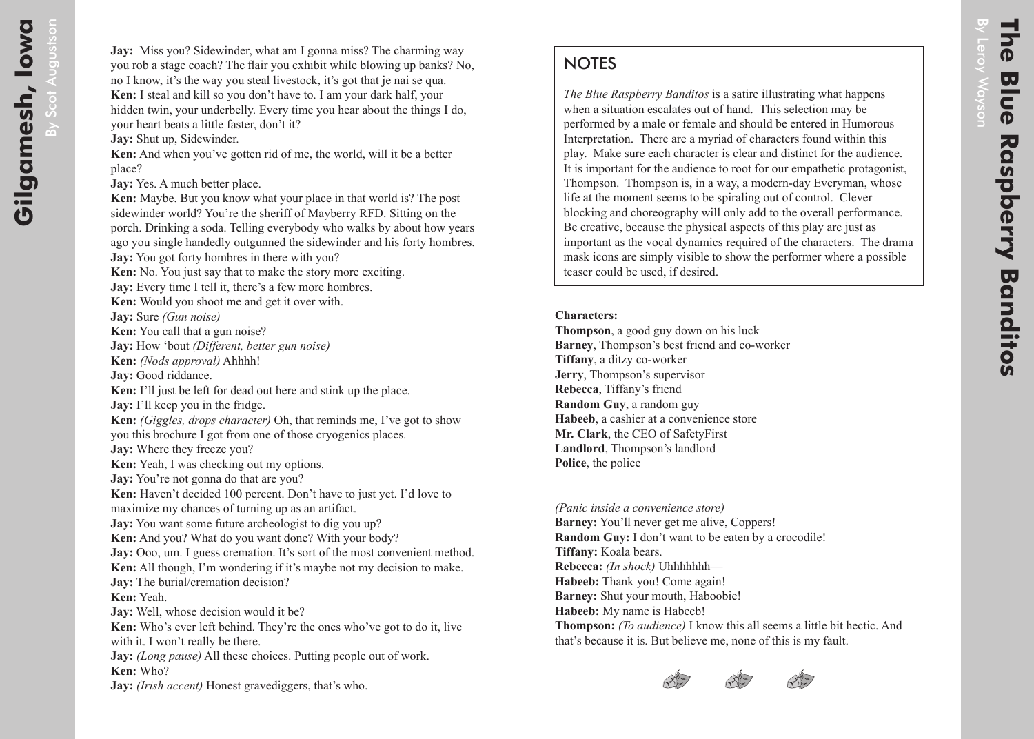## **NOTES**

*The Blue Raspberry Banditos* is a satire illustrating what happens when a situation escalates out of hand. This selection may be performed by a male or female and should be entered in Humorous Interpretation. There are a myriad of characters found within this play. Make sure each character is clear and distinct for the audience. It is important for the audience to root for our empathetic protagonist, Thompson. Thompson is, in a way, a modern-day Everyman, whose life at the moment seems to be spiraling out of control. Clever blocking and choreography will only add to the overall performance. Be creative, because the physical aspects of this play are just as important as the vocal dynamics required of the characters. The drama mask icons are simply visible to show the performer where a possible teaser could be used, if desired.

## **Characters:**

**Thompson**, a good guy down on his luck **Barney**, Thompson's best friend and co-worker **Tiffany**, a ditzy co-worker **Jerry**, Thompson's supervisor **Rebecca**, Tiffany's friend **Random Guy**, a random guy **Habeeb**, a cashier at a convenience store **Mr. Clark**, the CEO of SafetyFirst **Landlord**, Thompson's landlord **Police**, the police

*(Panic inside a convenience store)* **Barney:** You'll never get me alive, Coppers! **Random Guy:** I don't want to be eaten by a crocodile! **Tiffany:** Koala bears. **Rebecca:** *(In shock)* Uhhhhhhh— **Habeeb:** Thank you! Come again! **Barney:** Shut your mouth, Haboobie! **Habeeb:** My name is Habeeb! **Thompson:** *(To audience)* I know this all seems a little bit hectic. And that's because it is. But believe me, none of this is my fault.



By

Leroy Wayson

**Mayson**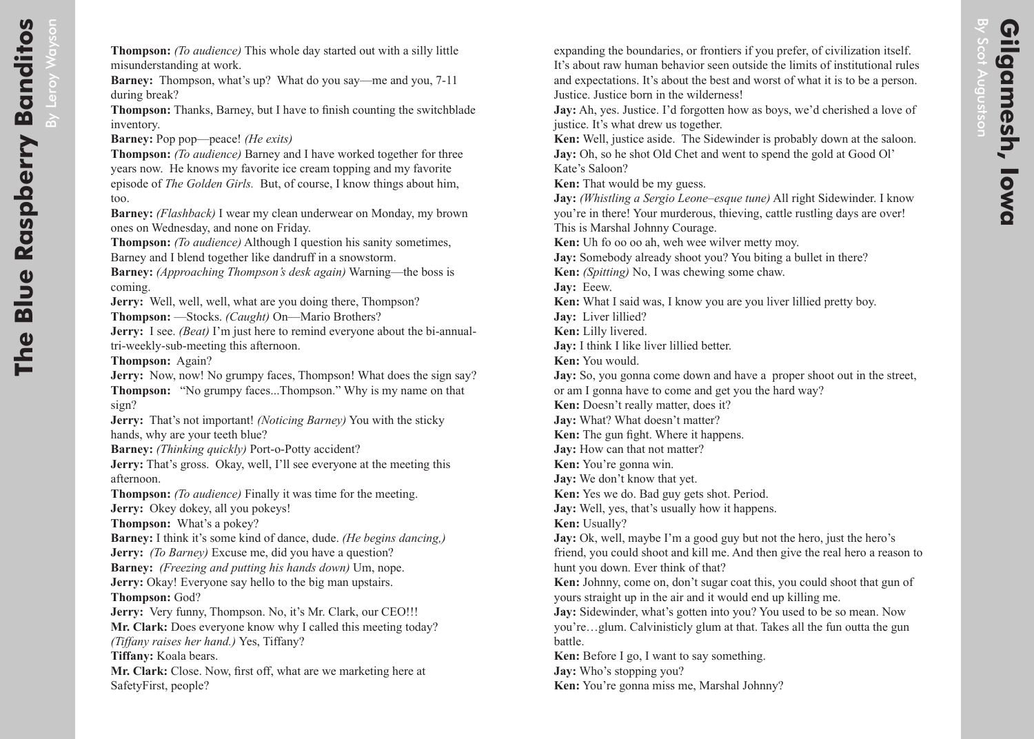**Banditos** By Leroy Wayson Leroy Wayson during break? inventory. too.

**Thompson:** *(To audience)* This whole day started out with a silly little misunderstanding at work.

**Barney:** Thompson, what's up? What do you say—me and you, 7-11

**Thompson:** Thanks, Barney, but I have to finish counting the switchblade

**Barney:** Pop pop—peace! *(He exits)*

**Thompson:** *(To audience)* Barney and I have worked together for three years now. He knows my favorite ice cream topping and my favorite episode of *The Golden Girls.* But, of course, I know things about him,

**Barney:** *(Flashback)* I wear my clean underwear on Monday, my brown ones on Wednesday, and none on Friday.

**Thompson:** *(To audience)* Although I question his sanity sometimes, Barney and I blend together like dandruff in a snowstorm.

**Barney:** *(Approaching Thompson's desk again)* Warning—the boss is coming.

**Jerry:** Well, well, well, what are you doing there, Thompson?

**Thompson:** —Stocks. *(Caught)* On—Mario Brothers?

**Jerry:** I see. *(Beat)* I'm just here to remind everyone about the bi-annualtri-weekly-sub-meeting this afternoon.

**Thompson:** Again?

**Jerry:** Now, now! No grumpy faces, Thompson! What does the sign say? **Thompson:** "No grumpy faces...Thompson." Why is my name on that sign?

**Jerry:** That's not important! *(Noticing Barney)* You with the sticky hands, why are your teeth blue?

**Barney:** *(Thinking quickly)* Port-o-Potty accident?

**Jerry:** That's gross. Okay, well, I'll see everyone at the meeting this afternoon.

**Thompson:** *(To audience)* Finally it was time for the meeting. **Jerry:** Okey dokey, all you pokeys!

**Thompson:** What's a pokey?

**Barney:** I think it's some kind of dance, dude. *(He begins dancing,)* **Jerry:** *(To Barney)* Excuse me, did you have a question?

**Barney:** *(Freezing and putting his hands down)* Um, nope.

**Jerry:** Okay! Everyone say hello to the big man upstairs. **Thompson:** God?

**Jerry:** Very funny, Thompson. No, it's Mr. Clark, our CEO!!! **Mr. Clark:** Does everyone know why I called this meeting today? *(Tiffany raises her hand.)* Yes, Tiffany?

**Tiffany:** Koala bears.

**Mr. Clark:** Close. Now, first off, what are we marketing here at SafetyFirst, people?